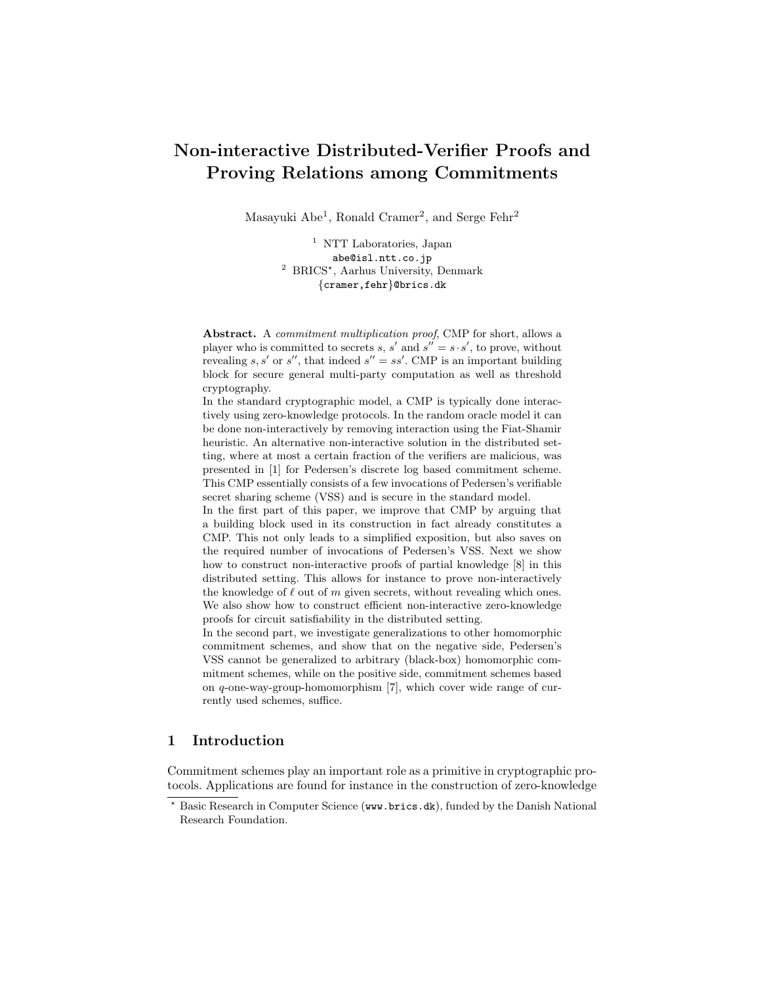# Non-interactive Distributed-Verifier Proofs and Proving Relations among Commitments

Masayuki Abe<sup>1</sup>, Ronald Cramer<sup>2</sup>, and Serge Fehr<sup>2</sup>

<sup>1</sup> NTT Laboratories, Japan abe@isl.ntt.co.jp <sup>2</sup> BRICS<sup>\*</sup>, Aarhus University, Denmark {cramer,fehr}@brics.dk

Abstract. A *commitment multiplication proof*, CMP for short, allows a player who is committed to secrets s, s' and  $s'' = s \cdot s'$ , to prove, without revealing s, s' or s'', that indeed  $s'' = ss'$ . CMP is an important building block for secure general multi-party computation as well as threshold cryptography.

In the standard cryptographic model, a CMP is typically done interactively using zero-knowledge protocols. In the random oracle model it can be done non-interactively by removing interaction using the Fiat-Shamir heuristic. An alternative non-interactive solution in the distributed setting, where at most a certain fraction of the verifiers are malicious, was presented in [1] for Pedersen's discrete log based commitment scheme. This CMP essentially consists of a few invocations of Pedersen's verifiable secret sharing scheme (VSS) and is secure in the standard model.

In the first part of this paper, we improve that CMP by arguing that a building block used in its construction in fact already constitutes a CMP. This not only leads to a simplified exposition, but also saves on the required number of invocations of Pedersen's VSS. Next we show how to construct non-interactive proofs of partial knowledge [8] in this distributed setting. This allows for instance to prove non-interactively the knowledge of  $\ell$  out of m given secrets, without revealing which ones. We also show how to construct efficient non-interactive zero-knowledge proofs for circuit satisfiability in the distributed setting.

In the second part, we investigate generalizations to other homomorphic commitment schemes, and show that on the negative side, Pedersen's VSS cannot be generalized to arbitrary (black-box) homomorphic commitment schemes, while on the positive side, commitment schemes based on q-one-way-group-homomorphism [7], which cover wide range of currently used schemes, suffice.

# 1 Introduction

Commitment schemes play an important role as a primitive in cryptographic protocols. Applications are found for instance in the construction of zero-knowledge

<sup>?</sup> Basic Research in Computer Science (www.brics.dk), funded by the Danish National Research Foundation.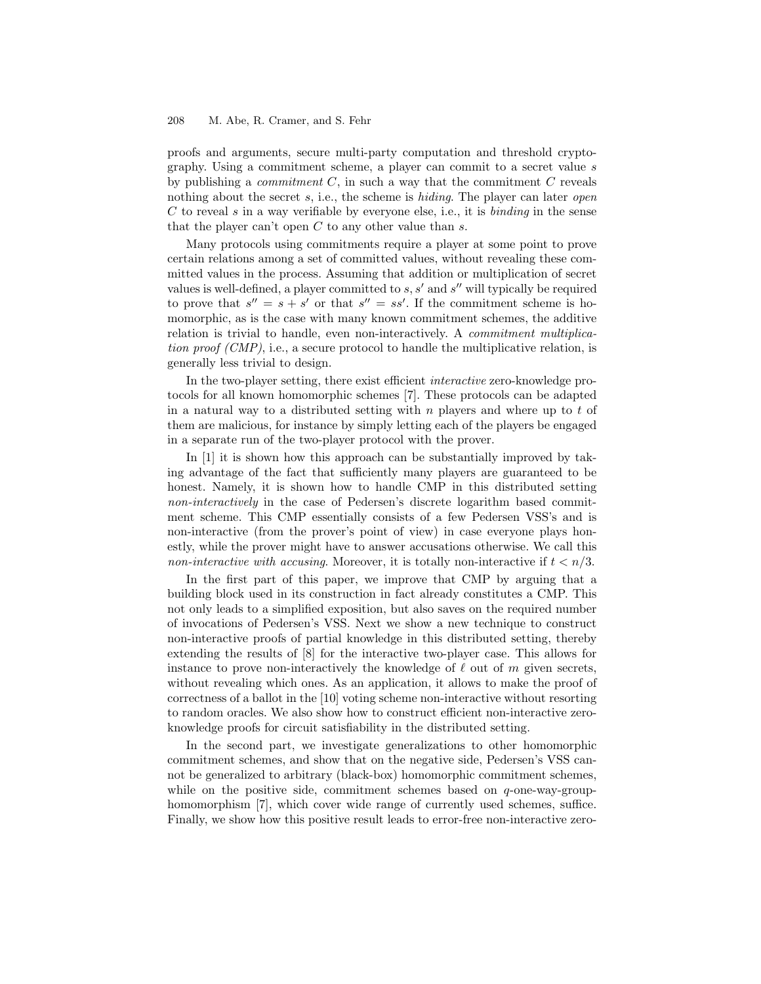proofs and arguments, secure multi-party computation and threshold cryptography. Using a commitment scheme, a player can commit to a secret value s by publishing a *commitment*  $C$ , in such a way that the commitment  $C$  reveals nothing about the secret  $s$ , i.e., the scheme is *hiding*. The player can later *open*  $C$  to reveal  $s$  in a way verifiable by everyone else, i.e., it is *binding* in the sense that the player can't open  $C$  to any other value than  $s$ .

Many protocols using commitments require a player at some point to prove certain relations among a set of committed values, without revealing these committed values in the process. Assuming that addition or multiplication of secret values is well-defined, a player committed to  $s, s'$  and  $s''$  will typically be required to prove that  $s'' = s + s'$  or that  $s'' = ss'$ . If the commitment scheme is homomorphic, as is the case with many known commitment schemes, the additive relation is trivial to handle, even non-interactively. A commitment multiplication proof (CMP), i.e., a secure protocol to handle the multiplicative relation, is generally less trivial to design.

In the two-player setting, there exist efficient interactive zero-knowledge protocols for all known homomorphic schemes [7]. These protocols can be adapted in a natural way to a distributed setting with  $n$  players and where up to  $t$  of them are malicious, for instance by simply letting each of the players be engaged in a separate run of the two-player protocol with the prover.

In [1] it is shown how this approach can be substantially improved by taking advantage of the fact that sufficiently many players are guaranteed to be honest. Namely, it is shown how to handle CMP in this distributed setting non-interactively in the case of Pedersen's discrete logarithm based commitment scheme. This CMP essentially consists of a few Pedersen VSS's and is non-interactive (from the prover's point of view) in case everyone plays honestly, while the prover might have to answer accusations otherwise. We call this non-interactive with accusing. Moreover, it is totally non-interactive if  $t < n/3$ .

In the first part of this paper, we improve that CMP by arguing that a building block used in its construction in fact already constitutes a CMP. This not only leads to a simplified exposition, but also saves on the required number of invocations of Pedersen's VSS. Next we show a new technique to construct non-interactive proofs of partial knowledge in this distributed setting, thereby extending the results of [8] for the interactive two-player case. This allows for instance to prove non-interactively the knowledge of  $\ell$  out of m given secrets, without revealing which ones. As an application, it allows to make the proof of correctness of a ballot in the [10] voting scheme non-interactive without resorting to random oracles. We also show how to construct efficient non-interactive zeroknowledge proofs for circuit satisfiability in the distributed setting.

In the second part, we investigate generalizations to other homomorphic commitment schemes, and show that on the negative side, Pedersen's VSS cannot be generalized to arbitrary (black-box) homomorphic commitment schemes, while on the positive side, commitment schemes based on  $q$ -one-way-grouphomomorphism [7], which cover wide range of currently used schemes, suffice. Finally, we show how this positive result leads to error-free non-interactive zero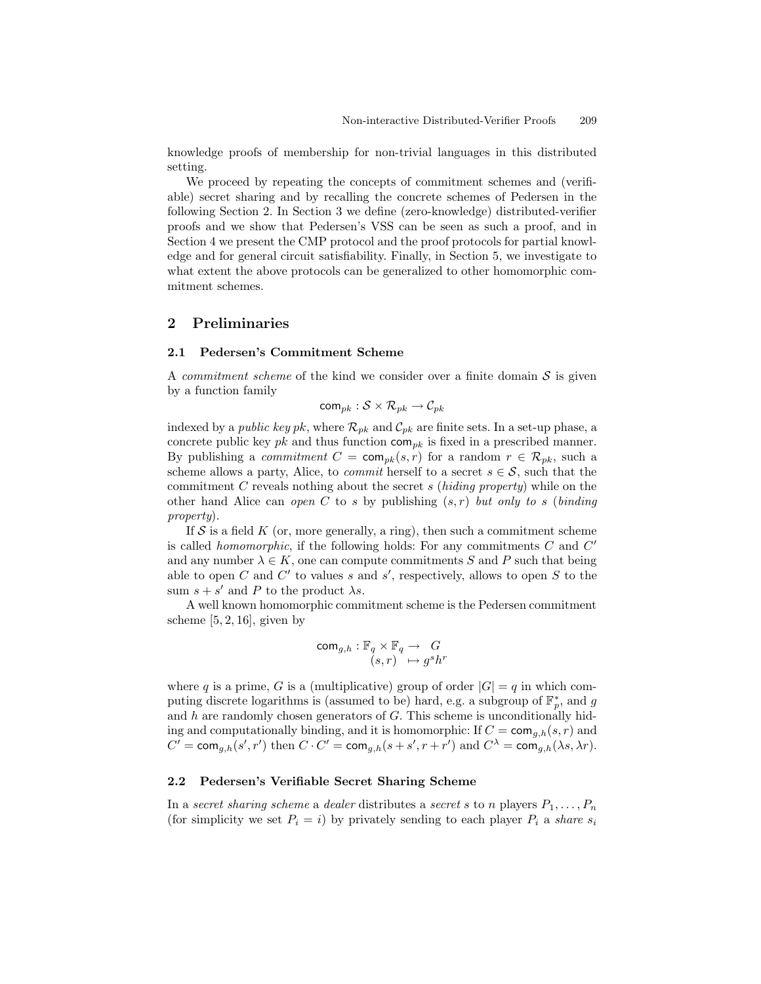knowledge proofs of membership for non-trivial languages in this distributed setting.

We proceed by repeating the concepts of commitment schemes and (verifiable) secret sharing and by recalling the concrete schemes of Pedersen in the following Section 2. In Section 3 we define (zero-knowledge) distributed-verifier proofs and we show that Pedersen's VSS can be seen as such a proof, and in Section 4 we present the CMP protocol and the proof protocols for partial knowledge and for general circuit satisfiability. Finally, in Section 5, we investigate to what extent the above protocols can be generalized to other homomorphic commitment schemes.

# 2 Preliminaries

### 2.1 Pedersen's Commitment Scheme

A *commitment scheme* of the kind we consider over a finite domain  $S$  is given by a function family

$$
\mathsf{com}_{pk}: \mathcal{S} \times \mathcal{R}_{pk} \rightarrow \mathcal{C}_{pk}
$$

indexed by a *public key pk*, where  $\mathcal{R}_{pk}$  and  $\mathcal{C}_{pk}$  are finite sets. In a set-up phase, a concrete public key pk and thus function  $\text{com}_{pk}$  is fixed in a prescribed manner. By publishing a *commitment*  $C = \text{com}_{pk}(s, r)$  for a random  $r \in \mathcal{R}_{pk}$ , such a scheme allows a party, Alice, to *commit* herself to a secret  $s \in \mathcal{S}$ , such that the commitment  $C$  reveals nothing about the secret s (hiding property) while on the other hand Alice can open C to s by publishing  $(s, r)$  but only to s (binding property).

If S is a field K (or, more generally, a ring), then such a commitment scheme is called *homomorphic*, if the following holds: For any commitments  $C$  and  $C'$ and any number  $\lambda \in K$ , one can compute commitments S and P such that being able to open C and  $C'$  to values s and s', respectively, allows to open S to the sum  $s + s'$  and P to the product  $\lambda s$ .

A well known homomorphic commitment scheme is the Pedersen commitment scheme  $[5, 2, 16]$ , given by

$$
\mathsf{com}_{g,h} : \mathbb{F}_q \times \mathbb{F}_q \to \begin{array}{c} G \\ (s,r) \end{array} \mapsto g^s h^r
$$

where q is a prime, G is a (multiplicative) group of order  $|G| = q$  in which computing discrete logarithms is (assumed to be) hard, e.g. a subgroup of  $\mathbb{F}_p^*$ , and g and  $h$  are randomly chosen generators of  $G$ . This scheme is unconditionally hiding and computationally binding, and it is homomorphic: If  $C = \text{com}_{q,h}(s,r)$  and  $C' = \text{com}_{g,h}(s',r')$  then  $C \cdot C' = \text{com}_{g,h}(s+s',r+r')$  and  $C^{\lambda} = \text{com}_{g,h}(\lambda s, \lambda r)$ .

## 2.2 Pedersen's Verifiable Secret Sharing Scheme

In a secret sharing scheme a dealer distributes a secret s to n players  $P_1, \ldots, P_n$ (for simplicity we set  $P_i = i$ ) by privately sending to each player  $P_i$  a share  $s_i$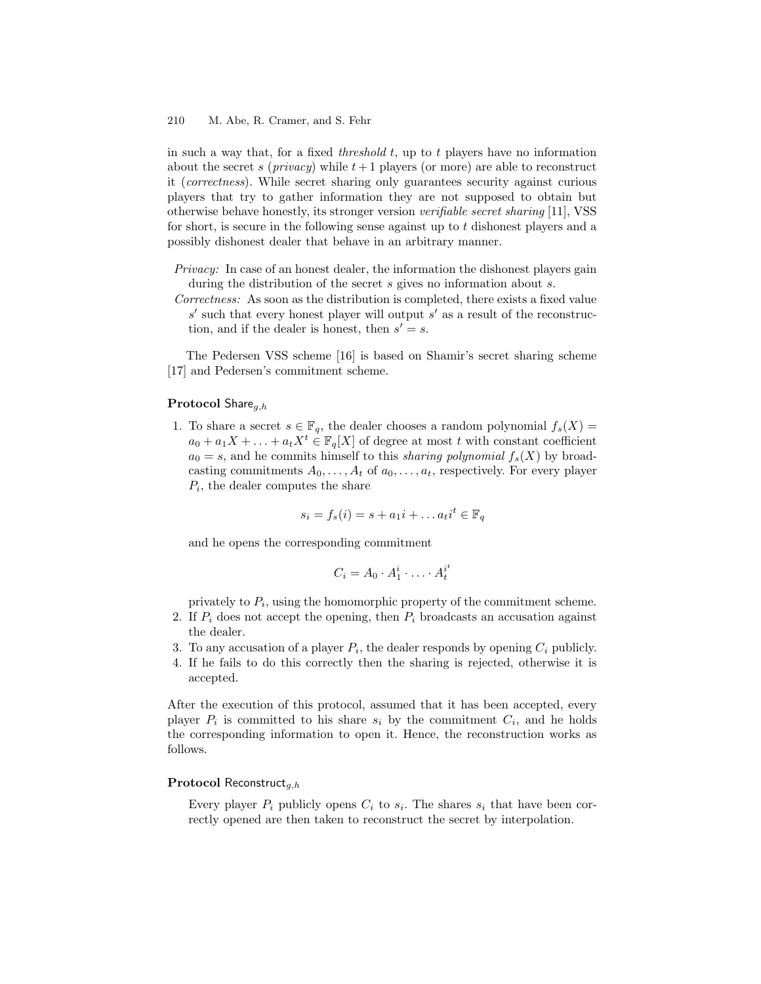in such a way that, for a fixed *threshold*  $t$ , up to  $t$  players have no information about the secret s (*privacy*) while  $t+1$  players (or more) are able to reconstruct it (correctness). While secret sharing only guarantees security against curious players that try to gather information they are not supposed to obtain but otherwise behave honestly, its stronger version verifiable secret sharing [11], VSS for short, is secure in the following sense against up to  $t$  dishonest players and a possibly dishonest dealer that behave in an arbitrary manner.

- Privacy: In case of an honest dealer, the information the dishonest players gain during the distribution of the secret s gives no information about s.
- Correctness: As soon as the distribution is completed, there exists a fixed value  $s'$  such that every honest player will output  $s'$  as a result of the reconstruction, and if the dealer is honest, then  $s' = s$ .

The Pedersen VSS scheme [16] is based on Shamir's secret sharing scheme [17] and Pedersen's commitment scheme.

## **Protocol Share**<sub>a,h</sub>

1. To share a secret  $s \in \mathbb{F}_q$ , the dealer chooses a random polynomial  $f_s(X) =$  $a_0 + a_1X + \ldots + a_tX^t \in \mathbb{F}_q[X]$  of degree at most t with constant coefficient  $a_0 = s$ , and he commits himself to this *sharing polynomial*  $f_s(X)$  by broadcasting commitments  $A_0, \ldots, A_t$  of  $a_0, \ldots, a_t$ , respectively. For every player  $P_i$ , the dealer computes the share

$$
s_i = f_s(i) = s + a_1 i + \dots a_t i^t \in \mathbb{F}_q
$$

and he opens the corresponding commitment

$$
C_i = A_0 \cdot A_1^i \cdot \ldots \cdot A_t^{i^t}
$$

privately to  $P_i$ , using the homomorphic property of the commitment scheme.

- 2. If  $P_i$  does not accept the opening, then  $P_i$  broadcasts an accusation against the dealer.
- 3. To any accusation of a player  $P_i$ , the dealer responds by opening  $C_i$  publicly.
- 4. If he fails to do this correctly then the sharing is rejected, otherwise it is accepted.

After the execution of this protocol, assumed that it has been accepted, every player  $P_i$  is committed to his share  $s_i$  by the commitment  $C_i$ , and he holds the corresponding information to open it. Hence, the reconstruction works as follows.

#### **Protocol Reconstruct**<sub>a,h</sub>

Every player  $P_i$  publicly opens  $C_i$  to  $s_i$ . The shares  $s_i$  that have been correctly opened are then taken to reconstruct the secret by interpolation.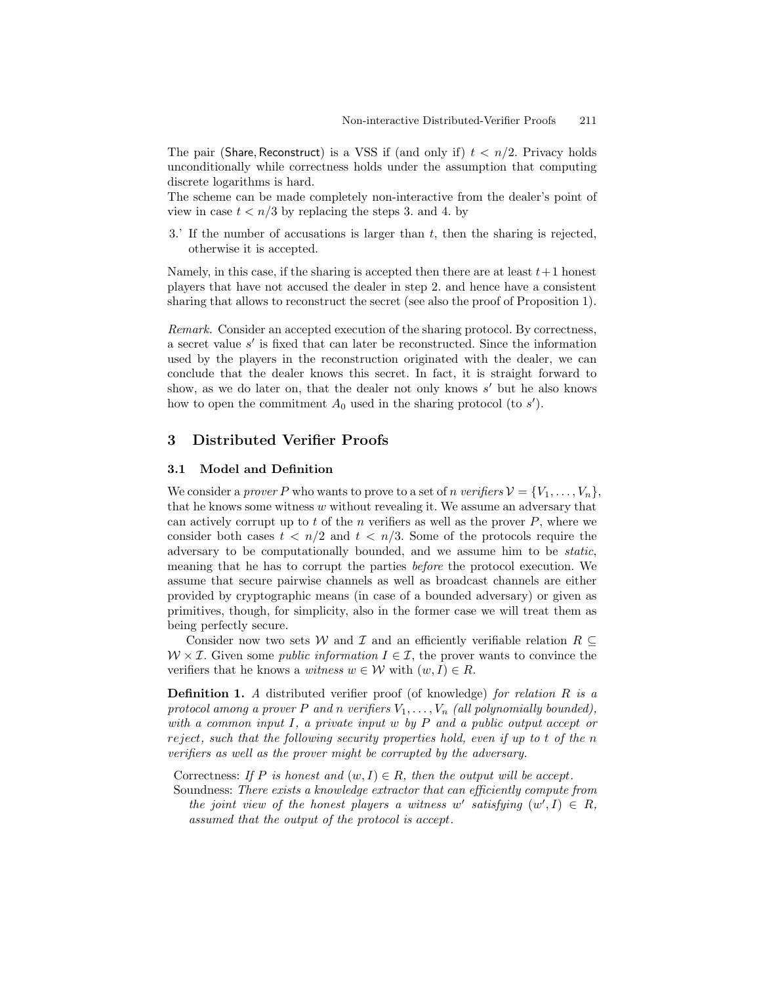The pair (Share, Reconstruct) is a VSS if (and only if)  $t < n/2$ . Privacy holds unconditionally while correctness holds under the assumption that computing discrete logarithms is hard.

The scheme can be made completely non-interactive from the dealer's point of view in case  $t < n/3$  by replacing the steps 3. and 4. by

3.' If the number of accusations is larger than t, then the sharing is rejected, otherwise it is accepted.

Namely, in this case, if the sharing is accepted then there are at least  $t+1$  honest players that have not accused the dealer in step 2. and hence have a consistent sharing that allows to reconstruct the secret (see also the proof of Proposition 1).

Remark. Consider an accepted execution of the sharing protocol. By correctness, a secret value  $s'$  is fixed that can later be reconstructed. Since the information used by the players in the reconstruction originated with the dealer, we can conclude that the dealer knows this secret. In fact, it is straight forward to show, as we do later on, that the dealer not only knows  $s'$  but he also knows how to open the commitment  $A_0$  used in the sharing protocol (to  $s'$ ).

# 3 Distributed Verifier Proofs

## 3.1 Model and Definition

We consider a *prover* P who wants to prove to a set of n verifiers  $V = \{V_1, \ldots, V_n\}$ , that he knows some witness  $w$  without revealing it. We assume an adversary that can actively corrupt up to t of the n verifiers as well as the prover  $P$ , where we consider both cases  $t \leq n/2$  and  $t \leq n/3$ . Some of the protocols require the adversary to be computationally bounded, and we assume him to be static, meaning that he has to corrupt the parties before the protocol execution. We assume that secure pairwise channels as well as broadcast channels are either provided by cryptographic means (in case of a bounded adversary) or given as primitives, though, for simplicity, also in the former case we will treat them as being perfectly secure.

Consider now two sets W and I and an efficiently verifiable relation  $R \subseteq$  $W \times I$ . Given some *public information*  $I \in I$ , the prover wants to convince the verifiers that he knows a *witness*  $w \in \mathcal{W}$  with  $(w, I) \in R$ .

**Definition 1.** A distributed verifier proof (of knowledge) for relation  $R$  is a protocol among a prover P and n verifiers  $V_1, \ldots, V_n$  (all polynomially bounded), with a common input I, a private input w by P and a public output accept or reject, such that the following security properties hold, even if up to t of the n verifiers as well as the prover might be corrupted by the adversary.

Correctness: If P is honest and  $(w, I) \in R$ , then the output will be accept.

Soundness: There exists a knowledge extractor that can efficiently compute from the joint view of the honest players a witness w' satisfying  $(w', I) \in R$ , assumed that the output of the protocol is accept.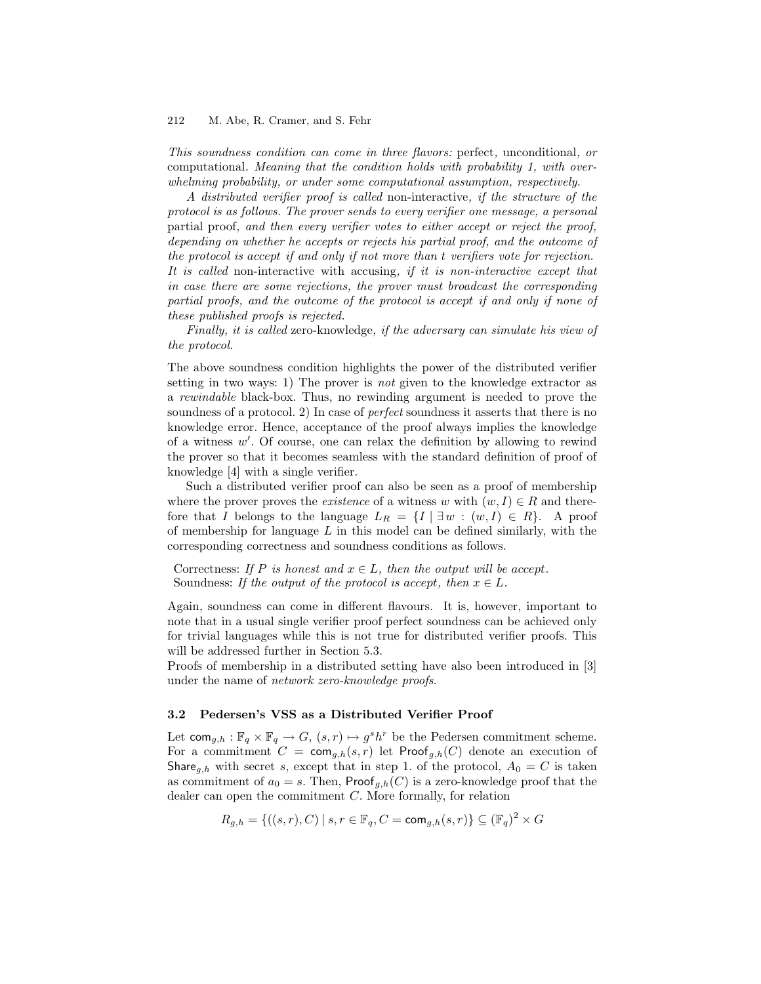This soundness condition can come in three flavors: perfect, unconditional, or computational. Meaning that the condition holds with probability 1, with overwhelming probability, or under some computational assumption, respectively.

A distributed verifier proof is called non-interactive, if the structure of the protocol is as follows. The prover sends to every verifier one message, a personal partial proof, and then every verifier votes to either accept or reject the proof, depending on whether he accepts or rejects his partial proof, and the outcome of the protocol is accept if and only if not more than t verifiers vote for rejection. It is called non-interactive with accusing, if it is non-interactive except that in case there are some rejections, the prover must broadcast the corresponding partial proofs, and the outcome of the protocol is accept if and only if none of these published proofs is rejected.

Finally, it is called zero-knowledge, if the adversary can simulate his view of the protocol.

The above soundness condition highlights the power of the distributed verifier setting in two ways: 1) The prover is not given to the knowledge extractor as a rewindable black-box. Thus, no rewinding argument is needed to prove the soundness of a protocol. 2) In case of perfect soundness it asserts that there is no knowledge error. Hence, acceptance of the proof always implies the knowledge of a witness  $w'$ . Of course, one can relax the definition by allowing to rewind the prover so that it becomes seamless with the standard definition of proof of knowledge [4] with a single verifier.

Such a distributed verifier proof can also be seen as a proof of membership where the prover proves the *existence* of a witness w with  $(w, I) \in R$  and therefore that I belongs to the language  $L_R = \{I \mid \exists w : (w, I) \in R\}$ . A proof of membership for language  $L$  in this model can be defined similarly, with the corresponding correctness and soundness conditions as follows.

Correctness: If P is honest and  $x \in L$ , then the output will be accept. Soundness: If the output of the protocol is accept, then  $x \in L$ .

Again, soundness can come in different flavours. It is, however, important to note that in a usual single verifier proof perfect soundness can be achieved only for trivial languages while this is not true for distributed verifier proofs. This will be addressed further in Section 5.3.

Proofs of membership in a distributed setting have also been introduced in [3] under the name of network zero-knowledge proofs.

#### 3.2 Pedersen's VSS as a Distributed Verifier Proof

Let  $\text{com}_{g,h} : \mathbb{F}_q \times \mathbb{F}_q \to G$ ,  $(s,r) \mapsto g^s h^r$  be the Pedersen commitment scheme. For a commitment  $C = \text{com}_{g,h}(s,r)$  let Proof<sub>g,h</sub>(C) denote an execution of Share<sub>g,h</sub> with secret s, except that in step 1. of the protocol,  $A_0 = C$  is taken as commitment of  $a_0 = s$ . Then, Proof<sub>g,h</sub>(C) is a zero-knowledge proof that the dealer can open the commitment C. More formally, for relation

$$
R_{g,h} = \{ ((s,r), C) \mid s, r \in \mathbb{F}_q, C = \text{com}_{g,h}(s,r) \} \subseteq (\mathbb{F}_q)^2 \times G
$$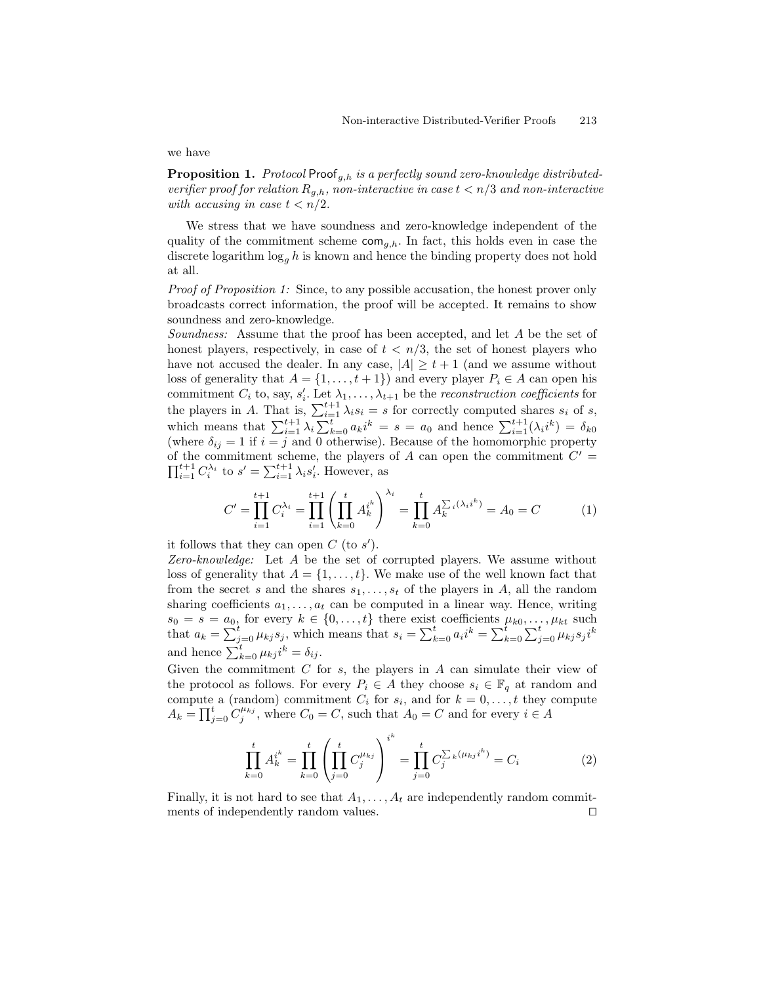we have

**Proposition 1.** Protocol Proof<sub>a,h</sub> is a perfectly sound zero-knowledge distributedverifier proof for relation  $R_{a,h}$ , non-interactive in case  $t < n/3$  and non-interactive with accusing in case  $t < n/2$ .

We stress that we have soundness and zero-knowledge independent of the quality of the commitment scheme  $com_{a,h}$ . In fact, this holds even in case the discrete logarithm  $\log_a h$  is known and hence the binding property does not hold at all.

Proof of Proposition 1: Since, to any possible accusation, the honest prover only broadcasts correct information, the proof will be accepted. It remains to show soundness and zero-knowledge.

Soundness: Assume that the proof has been accepted, and let A be the set of honest players, respectively, in case of  $t < n/3$ , the set of honest players who have not accused the dealer. In any case,  $|A| \geq t+1$  (and we assume without loss of generality that  $A = \{1, \ldots, t+1\}$  and every player  $P_i \in A$  can open his commitment  $C_i$  to, say,  $s'_i$ . Let  $\lambda_1, \ldots, \lambda_{t+1}$  be the *reconstruction coefficients* for the players in A. That is,  $\sum_{i=1}^{t+1} \lambda_i s_i = s$  for correctly computed shares  $s_i$  of s, which means that  $\sum_{i=1}^{t+1} \lambda_i \sum_{k=0}^t a_k i^k = s = a_0$  and hence  $\sum_{i=1}^{t+1} (\lambda_i i^k) = \delta_{k0}$ (where  $\delta_{ij} = 1$  if  $i = j$  and 0 otherwise). Because of the homomorphic property of the commitment scheme, the players of A can open the commitment C  $\prod$ the commitment scheme, the players of  $A$  can open the commitment  $C' = \frac{t+1}{i=1} C_i^{\lambda_i}$  to  $s' = \sum_{i=1}^{t+1} \lambda_i s'_i$ . However, as

$$
C' = \prod_{i=1}^{t+1} C_i^{\lambda_i} = \prod_{i=1}^{t+1} \left( \prod_{k=0}^t A_k^{i^k} \right)^{\lambda_i} = \prod_{k=0}^t A_k^{\sum_i (\lambda_i i^k)} = A_0 = C \tag{1}
$$

it follows that they can open  $C$  (to  $s'$ ).

Zero-knowledge: Let A be the set of corrupted players. We assume without loss of generality that  $A = \{1, \ldots, t\}$ . We make use of the well known fact that from the secret s and the shares  $s_1, \ldots, s_t$  of the players in A, all the random sharing coefficients  $a_1, \ldots, a_t$  can be computed in a linear way. Hence, writing  $s_0 = s = a_0$ , for every  $k \in \{0, \ldots, t\}$  there exist coefficients  $\mu_{k0}, \ldots, \mu_{kt}$  such that  $a_k = \sum_{j=0}^t \mu_{kj} s_j$ , which means that  $s_i = \sum_{k=0}^t a_i i^k = \sum_{k=0}^t \sum_{j=0}^t \mu_{kj} s_j i^k$ and hence  $\sum_{k=0}^{t} \mu_{kj} i^k = \delta_{ij}$ .

Given the commitment  $C$  for  $s$ , the players in  $A$  can simulate their view of the protocol as follows. For every  $P_i \in A$  they choose  $s_i \in \mathbb{F}_q$  at random and compute a (random) commitment  $C_i$  for  $s_i$ , and for  $k = 0, \ldots, t$  they compute  $A_k = \prod_{j=0}^t C_j^{\mu_{kj}}$ , where  $C_0 = C$ , such that  $A_0 = C$  and for every  $i \in A$ 

$$
\prod_{k=0}^{t} A_k^{i^k} = \prod_{k=0}^{t} \left( \prod_{j=0}^{t} C_j^{\mu_{kj}} \right)^{i^k} = \prod_{j=0}^{t} C_j^{\sum_k (\mu_{kj} i^k)} = C_i
$$
 (2)

Finally, it is not hard to see that  $A_1, \ldots, A_t$  are independently random commitments of independently random values.  $\Box$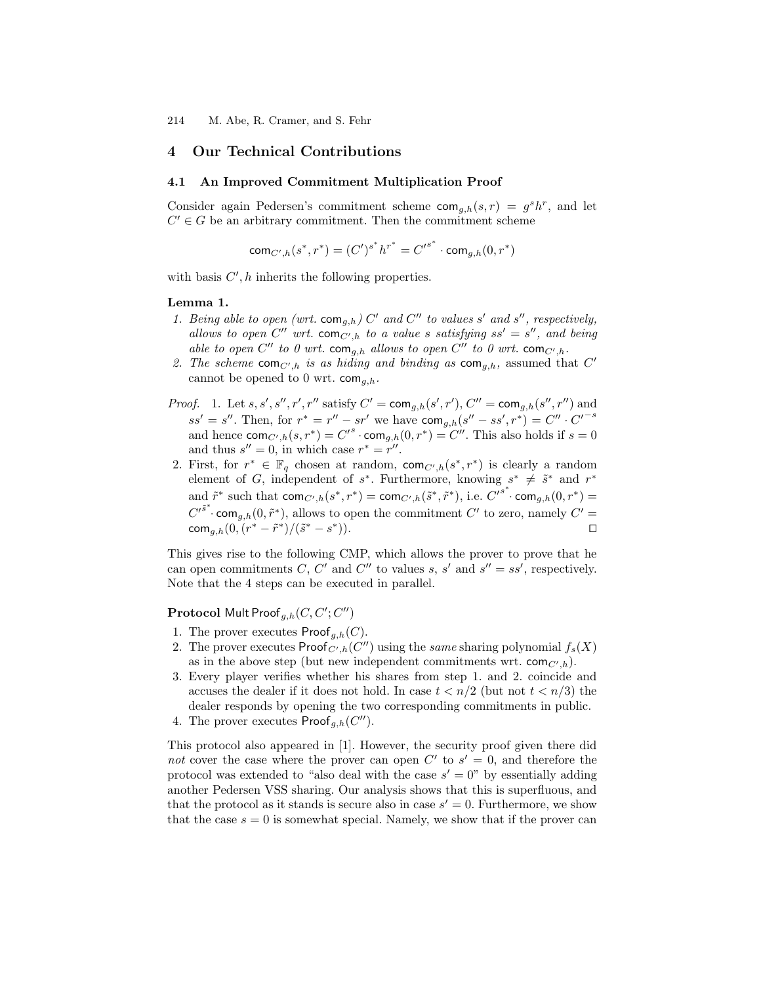# 4 Our Technical Contributions

## 4.1 An Improved Commitment Multiplication Proof

Consider again Pedersen's commitment scheme  $\text{com}_{g,h}(s,r) = g^s h^r$ , and let  $C' \in G$  be an arbitrary commitment. Then the commitment scheme

$$
\mathsf{com}_{C',h}(s^*,r^*) = (C')^{s^*}h^{r^*} = {C'}^{s^*}\cdot \mathsf{com}_{g,h}(0,r^*)
$$

with basis  $C', h$  inherits the following properties.

## Lemma 1.

- 1. Being able to open (wrt.  $\text{com}_{g,h}$ ) C' and C'' to values s' and s'', respectively, allows to open C'' wrt.  $\text{com}_{C',h}$  to a value s satisfying  $ss' = s''$ , and being able to open C'' to 0 wrt. com<sub>g,h</sub> allows to open C'' to 0 wrt. com<sub>C',h</sub>.
- 2. The scheme com<sub>C',h</sub> is as hiding and binding as com<sub>g,h</sub>, assumed that C' cannot be opened to 0 wrt.  $com_{a,h}$ .
- *Proof.* 1. Let s, s', s'', r'' satisfy  $C' = \text{com}_{g,h}(s', r')$ ,  $C'' = \text{com}_{g,h}(s'', r'')$  and  $ss' = s''$ . Then, for  $r^* = r'' - sr'$  we have  $\text{com}_{g,h}(s'' - ss', r^*) = C'' \cdot C'^{-s}$ and hence  $\textsf{com}_{C',h}(s,r^*) = C'^s \cdot \textsf{com}_{g,h}(0,r^*) = C''$ . This also holds if  $s = 0$ and thus  $s'' = 0$ , in which case  $r^* = r''$ .
- 2. First, for  $r^* \in \mathbb{F}_q$  chosen at random,  $\text{com}_{C',h}(s^*, r^*)$  is clearly a random element of G, independent of  $s^*$ . Furthermore, knowing  $s^* \neq \tilde{s}^*$  and  $r^*$ and  $\tilde{r}^*$  such that  $\text{com}_{C',h}(s^*, r^*) = \text{com}_{C',h}(\tilde{s}^*, \tilde{r}^*)$ , i.e.  $C'^{s^*}$  com<sub>g,h</sub> $(0, r^*) =$  $C'^{\tilde{s}^*}$  com<sub>g,h</sub>(0, $\tilde{r}^*$ ), allows to open the commitment C' to zero, namely  $C'$  =  $\mathsf{com}_{g,h}(0,(r^*-\tilde{r}^*)/(\tilde{s}^*-s^*)$ )).  $\Box$

This gives rise to the following CMP, which allows the prover to prove that he can open commitments C, C' and C'' to values s, s' and  $s'' = ss'$ , respectively. Note that the 4 steps can be executed in parallel.

# **Protocol** Mult Proof $_{g,h}(C, C'; C'')$

- 1. The prover executes  $Proof_{q,h}(C)$ .
- 2. The prover executes Proof<sub>C',h</sub>(C'') using the same sharing polynomial  $f_s(X)$ as in the above step (but new independent commitments wrt.  $\mathsf{com}_{C',h}$ ).
- 3. Every player verifies whether his shares from step 1. and 2. coincide and accuses the dealer if it does not hold. In case  $t < n/2$  (but not  $t < n/3$ ) the dealer responds by opening the two corresponding commitments in public.
- 4. The prover executes  $Proof_{g,h}(C'')$ .

This protocol also appeared in [1]. However, the security proof given there did not cover the case where the prover can open  $C'$  to  $s' = 0$ , and therefore the protocol was extended to "also deal with the case  $s' = 0$ " by essentially adding another Pedersen VSS sharing. Our analysis shows that this is superfluous, and that the protocol as it stands is secure also in case  $s' = 0$ . Furthermore, we show that the case  $s = 0$  is somewhat special. Namely, we show that if the prover can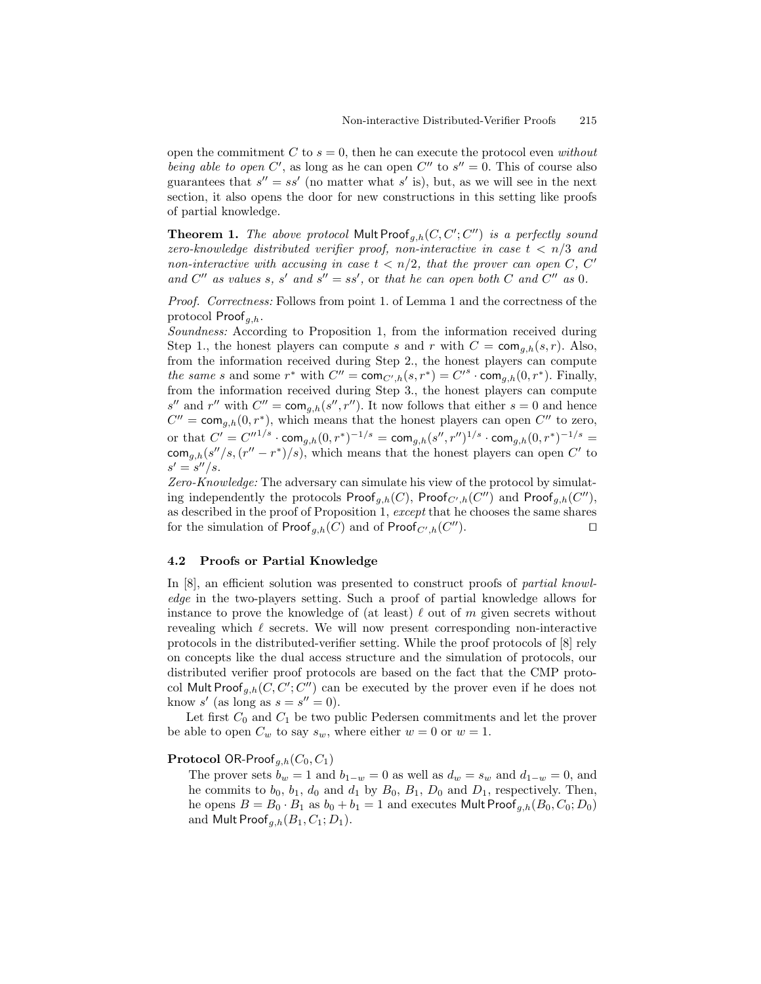open the commitment C to  $s = 0$ , then he can execute the protocol even without being able to open C', as long as he can open C'' to  $s'' = 0$ . This of course also guarantees that  $s'' = ss'$  (no matter what s' is), but, as we will see in the next section, it also opens the door for new constructions in this setting like proofs of partial knowledge.

**Theorem 1.** The above protocol Mult Proof  $_{g,h}(C, C'; C'')$  is a perfectly sound zero-knowledge distributed verifier proof, non-interactive in case  $t < n/3$  and non-interactive with accusing in case  $t < n/2$ , that the prover can open C, C' and C'' as values s, s' and  $s'' = ss'$ , or that he can open both C and C'' as 0.

Proof. Correctness: Follows from point 1. of Lemma 1 and the correctness of the protocol Proof<sub>a,h</sub>.

Soundness: According to Proposition 1, from the information received during Step 1., the honest players can compute s and r with  $C = \text{com}_{q,h}(s,r)$ . Also, from the information received during Step 2., the honest players can compute the same s and some r<sup>\*</sup> with  $C'' = \text{com}_{C',h}(s,r^*) = C'^s \cdot \text{com}_{g,h}(0,r^*)$ . Finally, from the information received during Step 3., the honest players can compute s'' and r'' with  $C'' = \text{com}_{g,h}(s'', r'')$ . It now follows that either  $s = 0$  and hence  $C'' = \text{com}_{g,h}(0,r^*)$ , which means that the honest players can open  $C''$  to zero, or that  $C' = {C''}^{1/s} \cdot \textsf{com}_{g,h}(0,r^*)^{-1/s} = \textsf{com}_{g,h}(s'',r'')^{1/s} \cdot \textsf{com}_{g,h}(0,r^*)^{-1/s} =$ com<sub>g,h</sub>(s''/s,(r'' - r<sup>\*</sup>)/s), which means that the honest players can open C' to  $s' = s''/s$ .

Zero-Knowledge: The adversary can simulate his view of the protocol by simulating independently the protocols  $\mathsf{Proof}_{g,h}(C)$ ,  $\mathsf{Proof}_{C',h}(C'')$  and  $\mathsf{Proof}_{g,h}(C'')$ , as described in the proof of Proposition 1, except that he chooses the same shares for the simulation of  $\mathsf{Proof}_{g,h}(C)$  and of  $\mathsf{Proof}_{C',h}(C)$  $\blacksquare$ ).

## 4.2 Proofs or Partial Knowledge

In [8], an efficient solution was presented to construct proofs of partial knowledge in the two-players setting. Such a proof of partial knowledge allows for instance to prove the knowledge of (at least)  $\ell$  out of m given secrets without revealing which  $\ell$  secrets. We will now present corresponding non-interactive protocols in the distributed-verifier setting. While the proof protocols of [8] rely on concepts like the dual access structure and the simulation of protocols, our distributed verifier proof protocols are based on the fact that the CMP protocol Mult Proof<sub>g,h</sub>(C, C'; C'') can be executed by the prover even if he does not know s' (as long as  $s = s'' = 0$ ).

Let first  $C_0$  and  $C_1$  be two public Pedersen commitments and let the prover be able to open  $C_w$  to say  $s_w$ , where either  $w = 0$  or  $w = 1$ .

## **Protocol OR-Proof**<sub>a, $h$ </sub> $(C_0, C_1)$

The prover sets  $b_w = 1$  and  $b_{1-w} = 0$  as well as  $d_w = s_w$  and  $d_{1-w} = 0$ , and he commits to  $b_0$ ,  $b_1$ ,  $d_0$  and  $d_1$  by  $B_0$ ,  $B_1$ ,  $D_0$  and  $D_1$ , respectively. Then, he opens  $B = B_0 \cdot B_1$  as  $b_0 + b_1 = 1$  and executes Mult Proof  $_{g,h}(B_0, C_0; D_0)$ and Mult Proof<sub>g, $h(B_1, C_1; D_1)$ .</sub>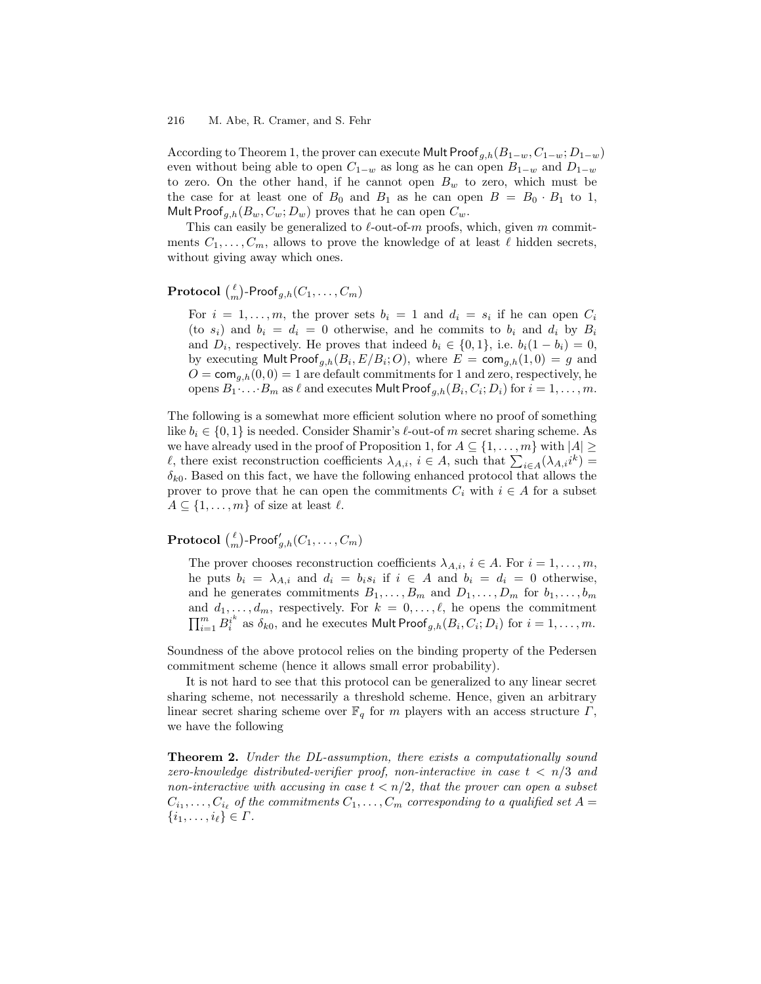According to Theorem 1, the prover can execute Mult Proof<sub>a,h</sub> $(B_{1-w}, C_{1-w}; D_{1-w})$ even without being able to open  $C_{1-w}$  as long as he can open  $B_{1-w}$  and  $D_{1-w}$ to zero. On the other hand, if he cannot open  $B_w$  to zero, which must be the case for at least one of  $B_0$  and  $B_1$  as he can open  $B = B_0 \cdot B_1$  to 1, Mult Proof<sub>g,h</sub> $(B_w, C_w; D_w)$  proves that he can open  $C_w$ .

This can easily be generalized to  $\ell$ -out-of-m proofs, which, given m commitments  $C_1, \ldots, C_m$ , allows to prove the knowledge of at least  $\ell$  hidden secrets, without giving away which ones.

# $\textbf{Protocol} \, \binom{\ell}{m}$ -Proof $_{g,h}(C_1, \ldots, C_m)$

For  $i = 1, \ldots, m$ , the prover sets  $b_i = 1$  and  $d_i = s_i$  if he can open  $C_i$ (to  $s_i$ ) and  $b_i = d_i = 0$  otherwise, and he commits to  $b_i$  and  $d_i$  by  $B_i$ and  $D_i$ , respectively. He proves that indeed  $b_i \in \{0, 1\}$ , i.e.  $b_i(1 - b_i) = 0$ , by executing Mult Proof<sub>g,h</sub> $(B_i, E/B_i; O)$ , where  $E = \text{com}_{g,h}(1, 0) = g$  and  $O = \text{com}_{g,h}(0,0) = 1$  are default commitments for 1 and zero, respectively, he opens  $B_1 \cdot \ldots \cdot B_m$  as  $\ell$  and executes Mult Proof  $_{g,h}(B_i, C_i; D_i)$  for  $i = 1, \ldots, m$ .

The following is a somewhat more efficient solution where no proof of something like  $b_i \in \{0,1\}$  is needed. Consider Shamir's  $\ell$ -out-of m secret sharing scheme. As we have already used in the proof of Proposition 1, for  $A \subseteq \{1, \ldots, m\}$  with  $|A| \ge$ l, there exist reconstruction coefficients  $\lambda_{A,i}, i \in A$ , such that  $\sum_{i \in A} (\lambda_{A,i} i^k)$  =  $\delta_{k0}$ . Based on this fact, we have the following enhanced protocol that allows the prover to prove that he can open the commitments  $C_i$  with  $i \in A$  for a subset  $A \subseteq \{1, \ldots, m\}$  of size at least  $\ell$ .

 $\textbf{Protocol} \, \binom{\ell}{m}$ -Proof $'_{g,h}(C_1, \ldots, C_m)$ 

The prover chooses reconstruction coefficients  $\lambda_{A,i}$ ,  $i \in A$ . For  $i = 1, \ldots, m$ , he puts  $b_i = \lambda_{A,i}$  and  $d_i = b_i s_i$  if  $i \in A$  and  $b_i = d_i = 0$  otherwise, and he generates commitments  $B_1, \ldots, B_m$  and  $D_1, \ldots, D_m$  for  $b_1, \ldots, b_m$ and  $d_1, \ldots, d_m$ , respectively. For  $k = 0, \ldots, \ell$ , he opens the commitment  $\prod_{i=1}^m B_i^{i^k}$  as  $\delta_{k0}$ , and he executes Mult Proof<sub>g,h</sub>( $B_i, C_i; D_i$ ) for  $i = 1, ..., m$ .

Soundness of the above protocol relies on the binding property of the Pedersen commitment scheme (hence it allows small error probability).

It is not hard to see that this protocol can be generalized to any linear secret sharing scheme, not necessarily a threshold scheme. Hence, given an arbitrary linear secret sharing scheme over  $\mathbb{F}_q$  for m players with an access structure  $\Gamma$ , we have the following

Theorem 2. Under the DL-assumption, there exists a computationally sound zero-knowledge distributed-verifier proof, non-interactive in case  $t < n/3$  and non-interactive with accusing in case  $t < n/2$ , that the prover can open a subset  $C_{i_1}, \ldots, C_{i_\ell}$  of the commitments  $C_1, \ldots, C_m$  corresponding to a qualified set  $A =$  $\{i_1,\ldots,i_\ell\} \in \Gamma$ .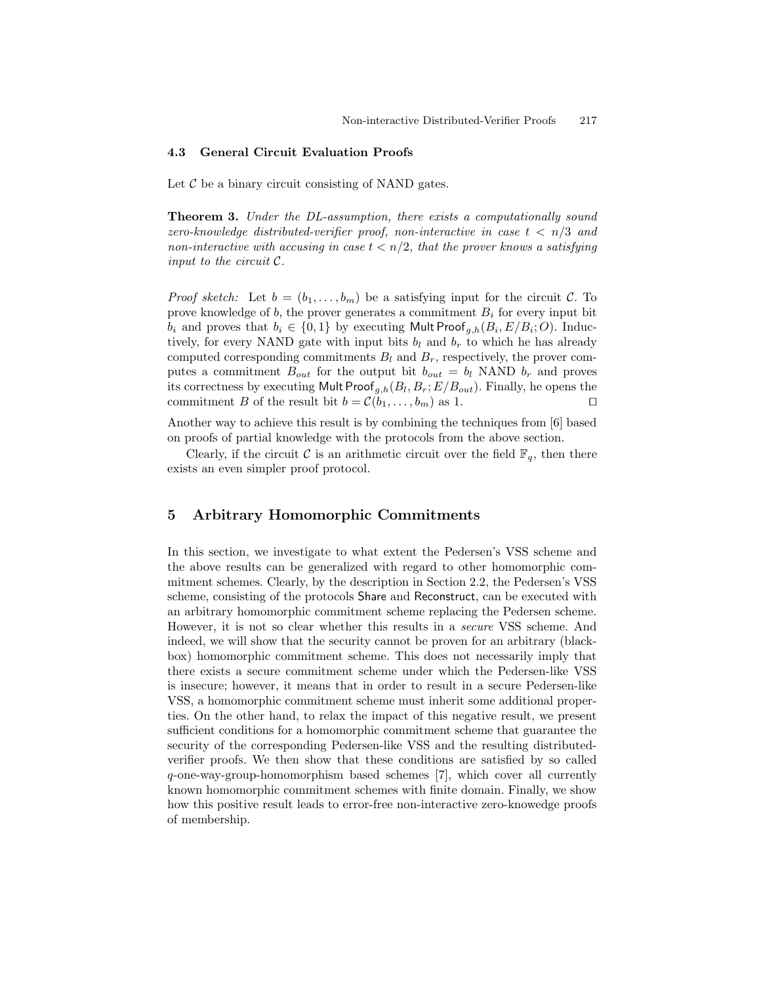## 4.3 General Circuit Evaluation Proofs

Let  $\mathcal C$  be a binary circuit consisting of NAND gates.

Theorem 3. Under the DL-assumption, there exists a computationally sound zero-knowledge distributed-verifier proof, non-interactive in case  $t < n/3$  and non-interactive with accusing in case  $t < n/2$ , that the prover knows a satisfying input to the circuit C.

*Proof sketch:* Let  $b = (b_1, \ldots, b_m)$  be a satisfying input for the circuit C. To prove knowledge of b, the prover generates a commitment  $B_i$  for every input bit  $b_i$  and proves that  $b_i \in \{0,1\}$  by executing Mult Proof  $_{g,h}(B_i, E/B_i; O)$ . Inductively, for every NAND gate with input bits  $b_l$  and  $b_r$  to which he has already computed corresponding commitments  $B_l$  and  $B_r$ , respectively, the prover computes a commitment  $B_{out}$  for the output bit  $b_{out} = b_l$  NAND  $b_r$  and proves its correctness by executing Mult  $\mathsf{Proof}_{g,h}(B_l, B_r; E/B_{out})$ . Finally, he opens the commitment B of the result bit  $b = \mathcal{C}(b_1, \ldots, b_m)$  as 1.

Another way to achieve this result is by combining the techniques from [6] based on proofs of partial knowledge with the protocols from the above section.

Clearly, if the circuit C is an arithmetic circuit over the field  $\mathbb{F}_q$ , then there exists an even simpler proof protocol.

# 5 Arbitrary Homomorphic Commitments

In this section, we investigate to what extent the Pedersen's VSS scheme and the above results can be generalized with regard to other homomorphic commitment schemes. Clearly, by the description in Section 2.2, the Pedersen's VSS scheme, consisting of the protocols Share and Reconstruct, can be executed with an arbitrary homomorphic commitment scheme replacing the Pedersen scheme. However, it is not so clear whether this results in a secure VSS scheme. And indeed, we will show that the security cannot be proven for an arbitrary (blackbox) homomorphic commitment scheme. This does not necessarily imply that there exists a secure commitment scheme under which the Pedersen-like VSS is insecure; however, it means that in order to result in a secure Pedersen-like VSS, a homomorphic commitment scheme must inherit some additional properties. On the other hand, to relax the impact of this negative result, we present sufficient conditions for a homomorphic commitment scheme that guarantee the security of the corresponding Pedersen-like VSS and the resulting distributedverifier proofs. We then show that these conditions are satisfied by so called q-one-way-group-homomorphism based schemes [7], which cover all currently known homomorphic commitment schemes with finite domain. Finally, we show how this positive result leads to error-free non-interactive zero-knowedge proofs of membership.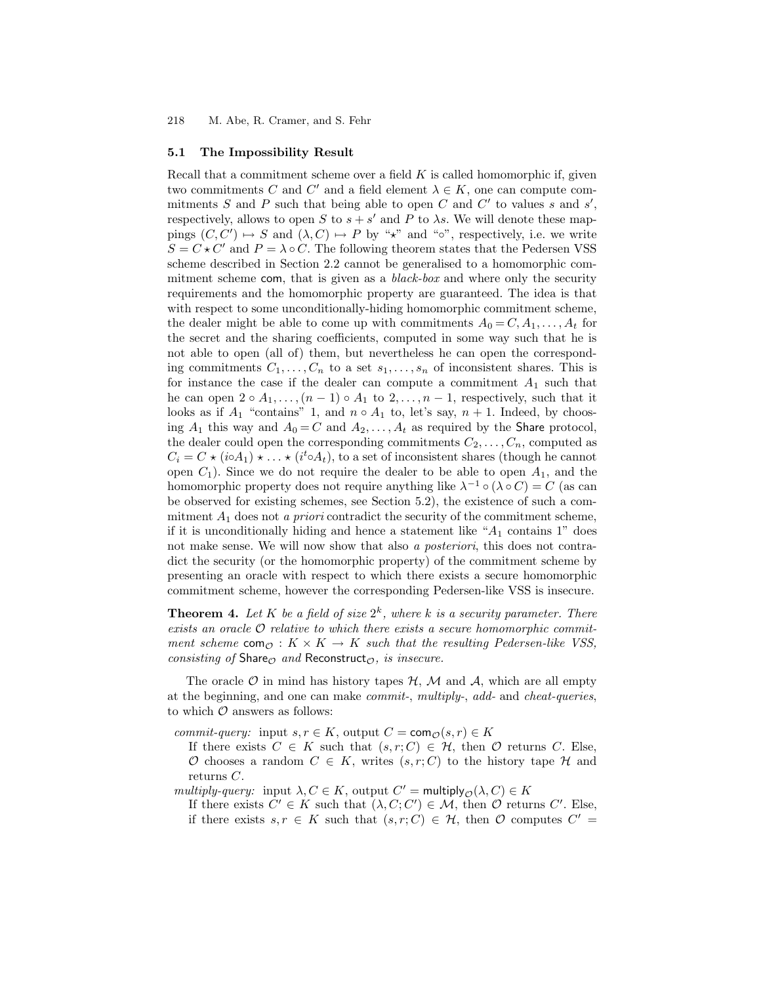#### 5.1 The Impossibility Result

Recall that a commitment scheme over a field  $K$  is called homomorphic if, given two commitments C and C' and a field element  $\lambda \in K$ , one can compute commitments  $S$  and  $P$  such that being able to open  $C$  and  $C'$  to values  $s$  and  $s'$ , respectively, allows to open S to  $s + s'$  and P to  $\lambda s$ . We will denote these mappings  $(C, C') \mapsto S$  and  $(\lambda, C) \mapsto P$  by " $\star$ " and "°°, respectively, i.e. we write  $S = C \star C'$  and  $P = \lambda \circ C$ . The following theorem states that the Pedersen VSS scheme described in Section 2.2 cannot be generalised to a homomorphic commitment scheme com, that is given as a *black-box* and where only the security requirements and the homomorphic property are guaranteed. The idea is that with respect to some unconditionally-hiding homomorphic commitment scheme, the dealer might be able to come up with commitments  $A_0 = C, A_1, \ldots, A_t$  for the secret and the sharing coefficients, computed in some way such that he is not able to open (all of) them, but nevertheless he can open the corresponding commitments  $C_1, \ldots, C_n$  to a set  $s_1, \ldots, s_n$  of inconsistent shares. This is for instance the case if the dealer can compute a commitment  $A_1$  such that he can open  $2 \circ A_1, \ldots, (n-1) \circ A_1$  to  $2, \ldots, n-1$ , respectively, such that it looks as if  $A_1$  "contains" 1, and  $n \circ A_1$  to, let's say,  $n + 1$ . Indeed, by choosing  $A_1$  this way and  $A_0 = C$  and  $A_2, \ldots, A_t$  as required by the Share protocol, the dealer could open the corresponding commitments  $C_2, \ldots, C_n$ , computed as  $C_i = C \star (i \circ A_1) \star \ldots \star (i^t \circ A_t)$ , to a set of inconsistent shares (though he cannot open  $C_1$ ). Since we do not require the dealer to be able to open  $A_1$ , and the homomorphic property does not require anything like  $\lambda^{-1} \circ (\lambda \circ C) = C$  (as can be observed for existing schemes, see Section 5.2), the existence of such a commitment  $A_1$  does not a priori contradict the security of the commitment scheme, if it is unconditionally hiding and hence a statement like " $A_1$  contains 1" does not make sense. We will now show that also a posteriori, this does not contradict the security (or the homomorphic property) of the commitment scheme by presenting an oracle with respect to which there exists a secure homomorphic commitment scheme, however the corresponding Pedersen-like VSS is insecure.

**Theorem 4.** Let K be a field of size  $2^k$ , where k is a security parameter. There exists an oracle O relative to which there exists a secure homomorphic commitment scheme  $\mathsf{com}_{\mathcal{O}} : K \times K \to K$  such that the resulting Pedersen-like VSS, consisting of Share<sub> $\varphi$ </sub> and Reconstruct<sub> $\varphi$ </sub>, is insecure.

The oracle  $\mathcal O$  in mind has history tapes  $\mathcal H$ ,  $\mathcal M$  and  $\mathcal A$ , which are all empty at the beginning, and one can make commit-, multiply-, add- and cheat-queries, to which  $\mathcal O$  answers as follows:

*commit-query:* input  $s, r \in K$ , output  $C = \text{com}_{\mathcal{O}}(s, r) \in K$ 

If there exists  $C \in K$  such that  $(s, r; C) \in \mathcal{H}$ , then  $\mathcal O$  returns C. Else, O chooses a random  $C \in K$ , writes  $(s, r; C)$  to the history tape H and returns C.

multiply-query: input  $\lambda, C \in K$ , output  $C' = \text{multiply}_{\mathcal{O}}(\lambda, C) \in K$ 

If there exists  $C' \in K$  such that  $(\lambda, C; C') \in \mathcal{M}$ , then  $\mathcal{O}$  returns  $C'$ . Else, if there exists  $s, r \in K$  such that  $(s, r; C) \in \mathcal{H}$ , then  $\mathcal O$  computes  $C' =$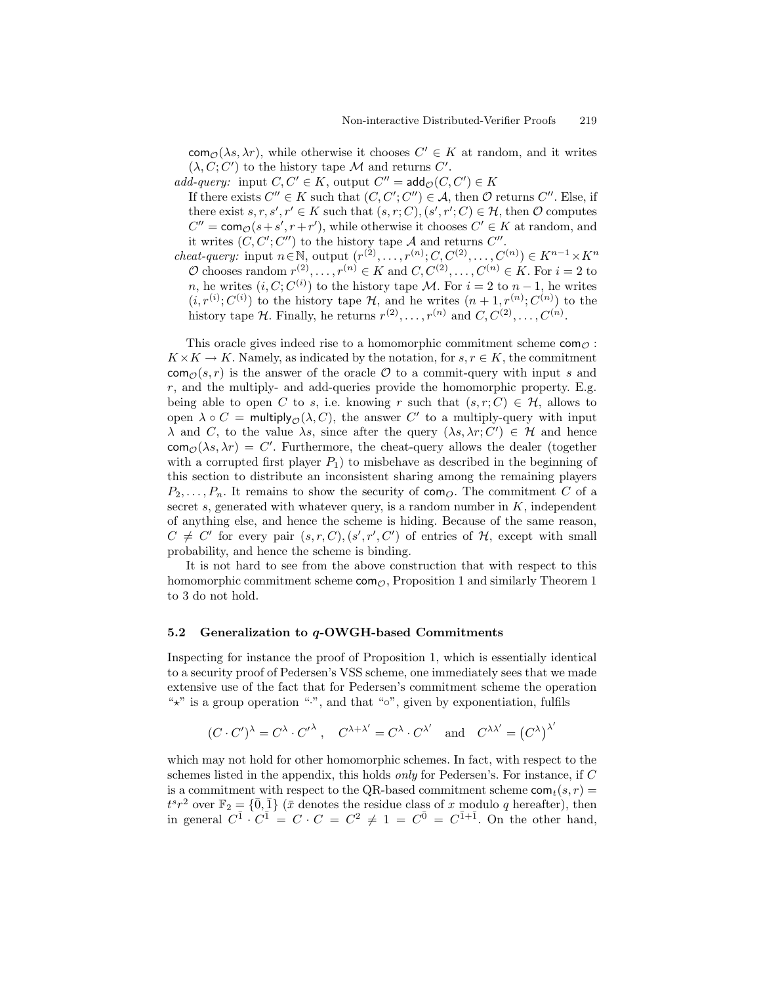$\mathsf{com}_{\mathcal{O}}(\lambda s, \lambda r)$ , while otherwise it chooses  $C' \in K$  at random, and it writes  $(\lambda, C; C')$  to the history tape M and returns C'.

- add-query: input  $C, C' \in K$ , output  $C'' = \text{add}_{\mathcal{O}}(C, C') \in K$
- If there exists  $C'' \in K$  such that  $(C, C'; C'') \in \mathcal{A}$ , then  $\mathcal{O}$  returns  $C''$ . Else, if there exist  $s, r, s', r' \in K$  such that  $(s, r; C), (s', r'; C) \in \mathcal{H}$ , then  $\mathcal{O}$  computes  $C'' = \text{com}_{\mathcal{O}}(s + s', r + r')$ , while otherwise it chooses  $C' \in K$  at random, and it writes  $(C, C'; C'')$  to the history tape A and returns  $C''$ .
- *cheat-query:* input  $n \in \mathbb{N}$ , output  $(r^{(2)}, \ldots, r^{(n)}; C, C^{(2)}, \ldots, C^{(n)}) \in K^{n-1} \times K^n$  $\mathcal O$  chooses random  $r^{(2)}, \ldots, r^{(n)} \in K$  and  $C, C^{(2)}, \ldots, C^{(n)} \in K$ . For  $i = 2$  to n, he writes  $(i, C; C^{(i)})$  to the history tape M. For  $i = 2$  to  $n - 1$ , he writes  $(i, r^{(i)}; C^{(i)})$  to the history tape  $\mathcal{H}$ , and he writes  $(n + 1, r^{(n)}; C^{(n)})$  to the history tape H. Finally, he returns  $r^{(2)}, \ldots, r^{(n)}$  and  $C, C^{(2)}, \ldots, C^{(n)}$ .

This oracle gives indeed rise to a homomorphic commitment scheme  $com_{\mathcal{O}}$ :  $K \times K \to K$ . Namely, as indicated by the notation, for  $s, r \in K$ , the commitment  $com_{\mathcal{O}}(s,r)$  is the answer of the oracle  $\mathcal O$  to a commit-query with input s and  $r$ , and the multiply- and add-queries provide the homomorphic property. E.g. being able to open C to s, i.e. knowing r such that  $(s, r; C) \in \mathcal{H}$ , allows to open  $\lambda \circ C = \text{multiply}_{\mathcal{O}}(\lambda, C)$ , the answer C' to a multiply-query with input  $\lambda$  and C, to the value  $\lambda s$ , since after the query  $(\lambda s, \lambda r; C') \in \mathcal{H}$  and hence  $\mathsf{com}_{\mathcal{O}}(\lambda s, \lambda r) = C'$ . Furthermore, the cheat-query allows the dealer (together with a corrupted first player  $P_1$ ) to misbehave as described in the beginning of this section to distribute an inconsistent sharing among the remaining players  $P_2, \ldots, P_n$ . It remains to show the security of com<sub>O</sub>. The commitment C of a secret s, generated with whatever query, is a random number in  $K$ , independent of anything else, and hence the scheme is hiding. Because of the same reason,  $C \neq C'$  for every pair  $(s, r, C), (s', r', C')$  of entries of  $H$ , except with small probability, and hence the scheme is binding.

It is not hard to see from the above construction that with respect to this homomorphic commitment scheme  $com_{\mathcal{O}}$ , Proposition 1 and similarly Theorem 1 to 3 do not hold.

#### 5.2 Generalization to  $q$ -OWGH-based Commitments

Inspecting for instance the proof of Proposition 1, which is essentially identical to a security proof of Pedersen's VSS scheme, one immediately sees that we made extensive use of the fact that for Pedersen's commitment scheme the operation " $\star$ " is a group operation "<sup>\*</sup>", and that "<sup>o</sup>", given by exponentiation, fulfils

$$
(C \cdot C')^{\lambda} = C^{\lambda} \cdot C'^{\lambda}, \quad C^{\lambda + \lambda'} = C^{\lambda} \cdot C^{\lambda'}
$$
 and  $C^{\lambda \lambda'} = (C^{\lambda})^{\lambda'}$ 

which may not hold for other homomorphic schemes. In fact, with respect to the schemes listed in the appendix, this holds only for Pedersen's. For instance, if C is a commitment with respect to the QR-based commitment scheme  $\text{com}_t(s, r)$  $t^s r^2$  over  $\mathbb{F}_2 = \{\overline{0}, \overline{1}\}\$  ( $\overline{x}$  denotes the residue class of x modulo q hereafter), then in general  $C^{\bar{1}} \cdot C^{\bar{1}} = C \cdot C = C^2 \neq 1 = C^{\bar{0}} = C^{\bar{1}+\bar{1}}$ . On the other hand,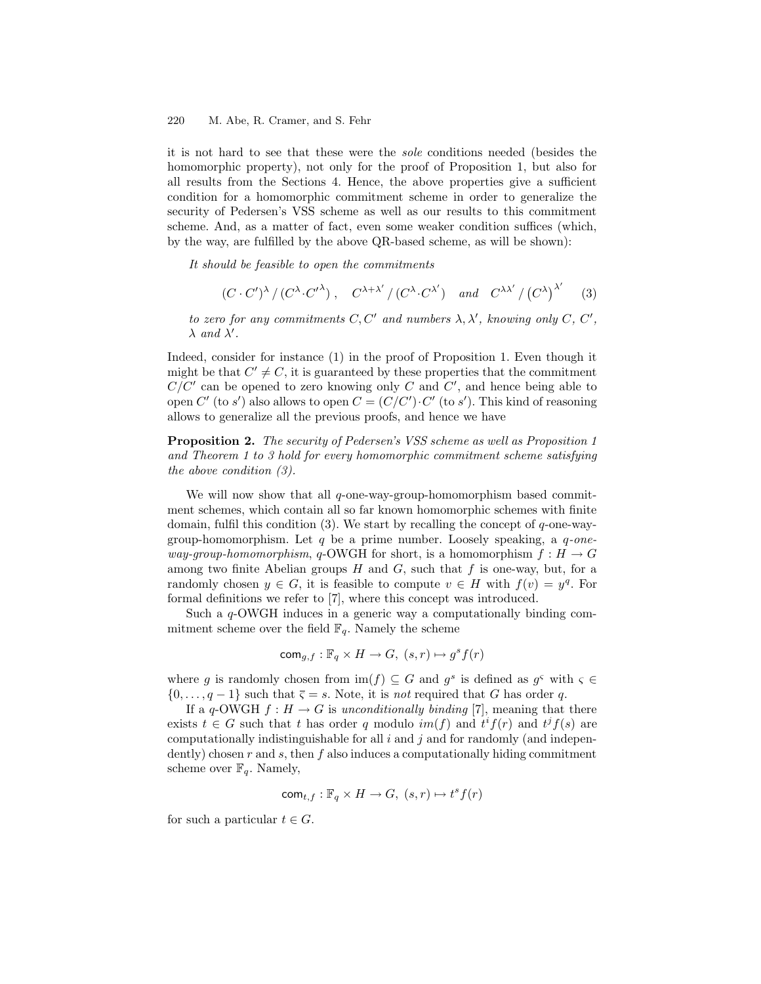it is not hard to see that these were the sole conditions needed (besides the homomorphic property), not only for the proof of Proposition 1, but also for all results from the Sections 4. Hence, the above properties give a sufficient condition for a homomorphic commitment scheme in order to generalize the security of Pedersen's VSS scheme as well as our results to this commitment scheme. And, as a matter of fact, even some weaker condition suffices (which, by the way, are fulfilled by the above QR-based scheme, as will be shown):

It should be feasible to open the commitments

$$
(C \cdot C')^{\lambda} / (C^{\lambda} \cdot C'^{\lambda}), \quad C^{\lambda + \lambda'} / (C^{\lambda} \cdot C^{\lambda'}) \quad \text{and} \quad C^{\lambda \lambda'} / (C^{\lambda})^{\lambda'}
$$
 (3)

to zero for any commitments  $C, C'$  and numbers  $\lambda, \lambda'$ , knowing only  $C, C'$ ,  $\lambda$  and  $\lambda'$ .

Indeed, consider for instance (1) in the proof of Proposition 1. Even though it might be that  $C' \neq C$ , it is guaranteed by these properties that the commitment  $C/C'$  can be opened to zero knowing only C and  $C'$ , and hence being able to open C' (to s') also allows to open  $C = (C/C') \cdot C'$  (to s'). This kind of reasoning allows to generalize all the previous proofs, and hence we have

Proposition 2. The security of Pedersen's VSS scheme as well as Proposition 1 and Theorem 1 to 3 hold for every homomorphic commitment scheme satisfying the above condition (3).

We will now show that all  $q$ -one-way-group-homomorphism based commitment schemes, which contain all so far known homomorphic schemes with finite domain, fulfil this condition (3). We start by recalling the concept of  $q$ -one-waygroup-homomorphism. Let  $q$  be a prime number. Loosely speaking, a  $q$ -oneway-group-homomorphism, q-OWGH for short, is a homomorphism  $f : H \to G$ among two finite Abelian groups  $H$  and  $G$ , such that  $f$  is one-way, but, for a randomly chosen  $y \in G$ , it is feasible to compute  $v \in H$  with  $f(v) = y^q$ . For formal definitions we refer to [7], where this concept was introduced.

Such a  $q$ -OWGH induces in a generic way a computationally binding commitment scheme over the field  $\mathbb{F}_q$ . Namely the scheme

$$
\mathsf{com}_{g,f} : \mathbb{F}_q \times H \to G, \ (s,r) \mapsto g^s f(r)
$$

where g is randomly chosen from  $\text{im}(f) \subseteq G$  and  $g^s$  is defined as  $g^s$  with  $\varsigma \in$  $\{0,\ldots,q-1\}$  such that  $\overline{\varsigma} = s$ . Note, it is not required that G has order q.

If a q-OWGH  $f : H \to G$  is unconditionally binding [7], meaning that there exists  $t \in G$  such that t has order q modulo  $im(f)$  and  $t<sup>i</sup> f(r)$  and  $t<sup>j</sup> f(s)$  are computationally indistinguishable for all  $i$  and  $j$  and for randomly (and independently) chosen  $r$  and  $s$ , then  $f$  also induces a computationally hiding commitment scheme over  $\mathbb{F}_q$ . Namely,

$$
\mathsf{com}_{t,f} : \mathbb{F}_q \times H \to G, \ (s,r) \mapsto t^s f(r)
$$

for such a particular  $t \in G$ .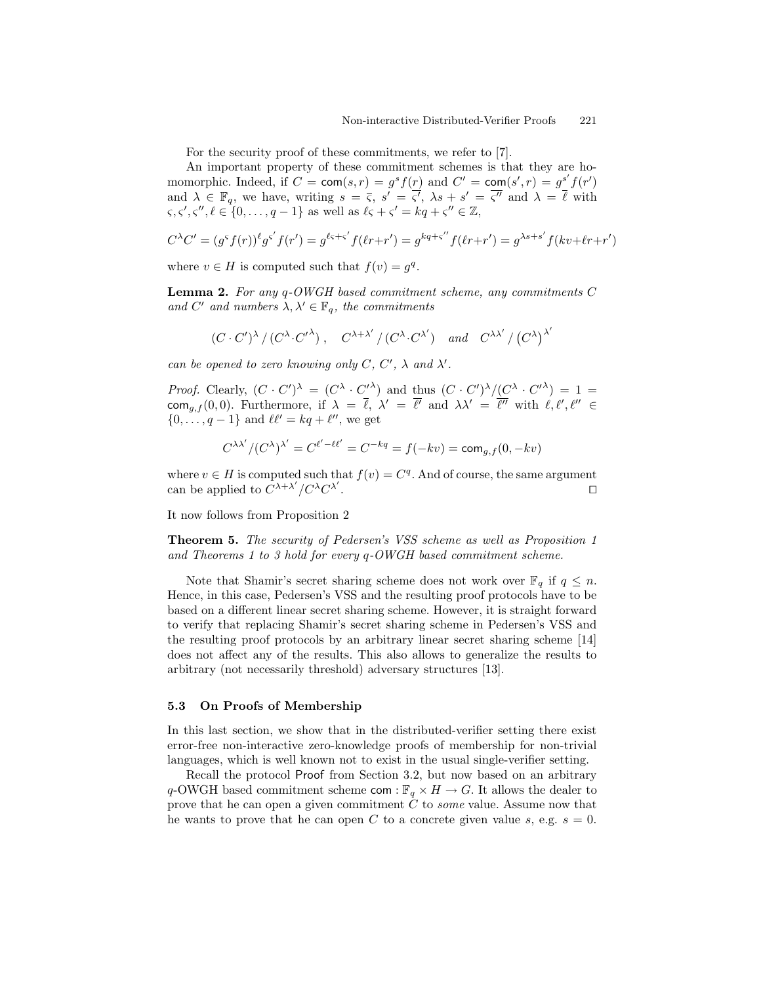For the security proof of these commitments, we refer to [7].

An important property of these commitment schemes is that they are homomorphic. Indeed, if  $C = \text{com}(s, r) = g^s f(r)$  and  $C' = \text{com}(s', r) = g^{s'} f(r')$ and  $\lambda \in \mathbb{F}_q$ , we have, writing  $s = \overline{\varsigma}$ ,  $s' = \overline{\varsigma'}$ ,  $\lambda s + s' = \overline{\varsigma''}$  and  $\lambda = \overline{\ell}$  with  $\varsigma, \varsigma', \varsigma'', \ell \in \{0, \ldots, q-1\}$  as well as  $\ell \varsigma + \varsigma' = kq + \varsigma'' \in \mathbb{Z}$ ,

$$
C^{\lambda}C' = (g^{\varsigma}f(r))^{\ell}g^{\varsigma'}f(r') = g^{\ell\varsigma+\varsigma'}f(\ell r + r') = g^{kq+\varsigma''}f(\ell r + r') = g^{\lambda s + s'}f(kv + \ell r + r')
$$

where  $v \in H$  is computed such that  $f(v) = g<sup>q</sup>$ .

**Lemma 2.** For any  $q$ -OWGH based commitment scheme, any commitments  $C$ and C' and numbers  $\lambda, \lambda' \in \mathbb{F}_q$ , the commitments

$$
(C \cdot C')^{\lambda} / (C^{\lambda} \cdot C'^{\lambda}), \quad C^{\lambda + \lambda'} / (C^{\lambda} \cdot C^{\lambda'}) \quad \text{and} \quad C^{\lambda \lambda'} / (C^{\lambda})^{\lambda'}
$$

can be opened to zero knowing only  $C, C', \lambda$  and  $\lambda'$ .

*Proof.* Clearly,  $(C \cdot C')^{\lambda} = (C^{\lambda} \cdot C'^{\lambda})$  and thus  $(C \cdot C')^{\lambda}/(C^{\lambda} \cdot C'^{\lambda}) = 1$ com<sub>g,f</sub>(0,0). Furthermore, if  $\lambda = \overline{\ell}$ ,  $\lambda' = \overline{\ell'}$  and  $\lambda \lambda' = \overline{\ell''}$  with  $\ell, \ell', \ell'' \in$  $\{0, \ldots, q-1\}$  and  $\ell \ell' = kq + \ell''$ , we get

$$
C^{\lambda\lambda'}/(C^\lambda)^{\lambda'}=C^{\ell'-\ell\ell'}=C^{-kq}=f(-kv)=\operatorname{com}_{g,f}(0,-kv)
$$

where  $v \in H$  is computed such that  $f(v) = C<sup>q</sup>$ . And of course, the same argument can be applied to  $C^{\lambda+\lambda'}/C^{\lambda}C^{\lambda'}$ . The contract of the contract of the contract of  $\Box$ 

It now follows from Proposition 2

Theorem 5. The security of Pedersen's VSS scheme as well as Proposition 1 and Theorems 1 to 3 hold for every q-OWGH based commitment scheme.

Note that Shamir's secret sharing scheme does not work over  $\mathbb{F}_q$  if  $q \leq n$ . Hence, in this case, Pedersen's VSS and the resulting proof protocols have to be based on a different linear secret sharing scheme. However, it is straight forward to verify that replacing Shamir's secret sharing scheme in Pedersen's VSS and the resulting proof protocols by an arbitrary linear secret sharing scheme [14] does not affect any of the results. This also allows to generalize the results to arbitrary (not necessarily threshold) adversary structures [13].

# 5.3 On Proofs of Membership

In this last section, we show that in the distributed-verifier setting there exist error-free non-interactive zero-knowledge proofs of membership for non-trivial languages, which is well known not to exist in the usual single-verifier setting.

Recall the protocol Proof from Section 3.2, but now based on an arbitrary q-OWGH based commitment scheme com :  $\mathbb{F}_q \times H \to G$ . It allows the dealer to prove that he can open a given commitment C to some value. Assume now that he wants to prove that he can open C to a concrete given value s, e.g.  $s = 0$ .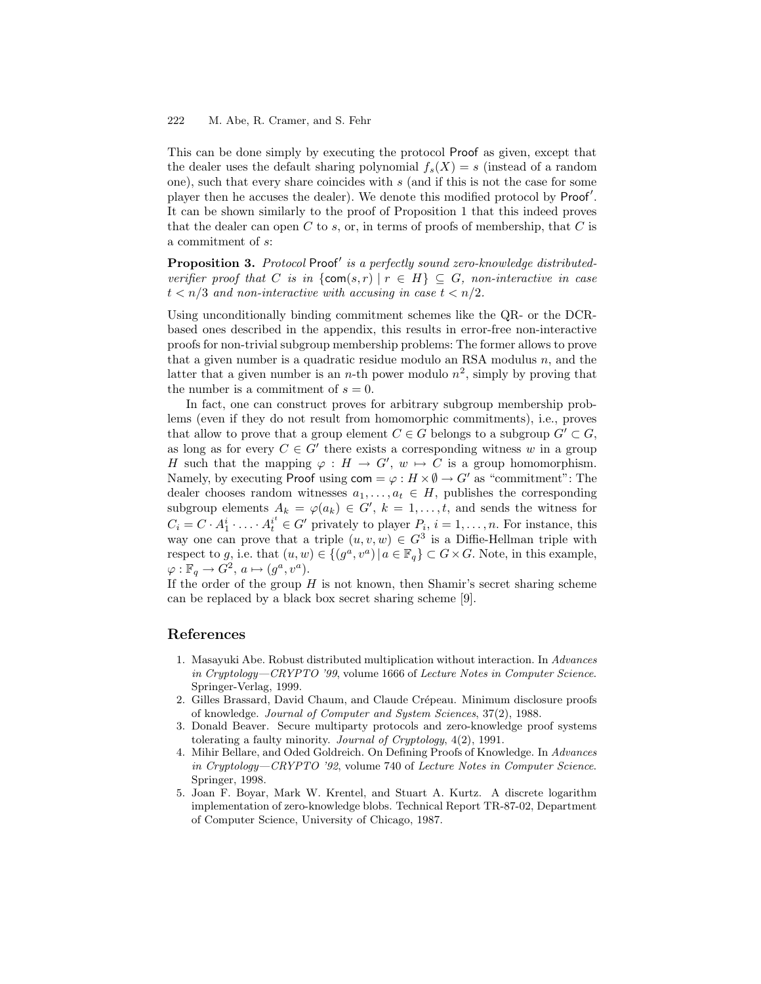This can be done simply by executing the protocol Proof as given, except that the dealer uses the default sharing polynomial  $f_s(X) = s$  (instead of a random one), such that every share coincides with s (and if this is not the case for some player then he accuses the dealer). We denote this modified protocol by Proof'. It can be shown similarly to the proof of Proposition 1 that this indeed proves that the dealer can open  $C$  to  $s$ , or, in terms of proofs of membership, that  $C$  is a commitment of s:

**Proposition 3.** Protocol Proof' is a perfectly sound zero-knowledge distributedverifier proof that C is in  $\{\textsf{com}(s, r) | r \in H\} \subseteq G$ , non-interactive in case  $t < n/3$  and non-interactive with accusing in case  $t < n/2$ .

Using unconditionally binding commitment schemes like the QR- or the DCRbased ones described in the appendix, this results in error-free non-interactive proofs for non-trivial subgroup membership problems: The former allows to prove that a given number is a quadratic residue modulo an RSA modulus  $n$ , and the latter that a given number is an *n*-th power modulo  $n^2$ , simply by proving that the number is a commitment of  $s = 0$ .

In fact, one can construct proves for arbitrary subgroup membership problems (even if they do not result from homomorphic commitments), i.e., proves that allow to prove that a group element  $C \in G$  belongs to a subgroup  $G' \subset G$ , as long as for every  $C \in G'$  there exists a corresponding witness w in a group H such that the mapping  $\varphi : H \to G', w \mapsto C$  is a group homomorphism. Namely, by executing Proof using  $com = \varphi : H \times \emptyset \to G'$  as "commitment": The dealer chooses random witnesses  $a_1, \ldots, a_t \in H$ , publishes the corresponding subgroup elements  $A_k = \varphi(a_k) \in G', k = 1, \ldots, t$ , and sends the witness for  $C_i = C \cdot A_1^i \cdot \ldots \cdot A_t^{i^t} \in G'$  privately to player  $P_i$ ,  $i = 1, \ldots, n$ . For instance, this way one can prove that a triple  $(u, v, w) \in G<sup>3</sup>$  is a Diffie-Hellman triple with respect to g, i.e. that  $(u, w) \in \{ (g^a, v^a) \mid a \in \mathbb{F}_q \} \subset G \times G$ . Note, in this example,  $\varphi : \mathbb{F}_q \to G^2, \, a \mapsto (g^a, v^a).$ 

If the order of the group  $H$  is not known, then Shamir's secret sharing scheme can be replaced by a black box secret sharing scheme [9].

# References

- 1. Masayuki Abe. Robust distributed multiplication without interaction. In Advances in Cryptology—CRYPTO '99, volume 1666 of Lecture Notes in Computer Science. Springer-Verlag, 1999.
- 2. Gilles Brassard, David Chaum, and Claude Crépeau. Minimum disclosure proofs of knowledge. Journal of Computer and System Sciences, 37(2), 1988.
- 3. Donald Beaver. Secure multiparty protocols and zero-knowledge proof systems tolerating a faulty minority. Journal of Cryptology, 4(2), 1991.
- 4. Mihir Bellare, and Oded Goldreich. On Defining Proofs of Knowledge. In Advances in Cryptology—CRYPTO '92, volume 740 of Lecture Notes in Computer Science. Springer, 1998.
- 5. Joan F. Boyar, Mark W. Krentel, and Stuart A. Kurtz. A discrete logarithm implementation of zero-knowledge blobs. Technical Report TR-87-02, Department of Computer Science, University of Chicago, 1987.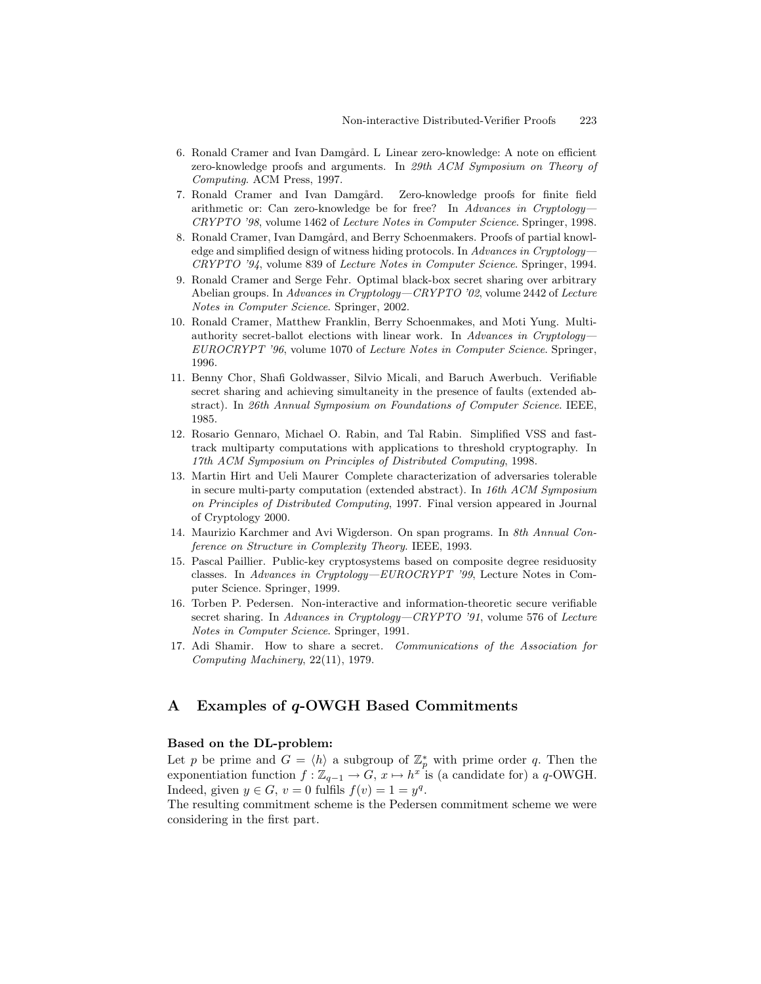- 6. Ronald Cramer and Ivan Damgård. L Linear zero-knowledge: A note on efficient zero-knowledge proofs and arguments. In 29th ACM Symposium on Theory of Computing. ACM Press, 1997.
- 7. Ronald Cramer and Ivan Damgård. Zero-knowledge proofs for finite field arithmetic or: Can zero-knowledge be for free? In Advances in Cryptology— CRYPTO '98, volume 1462 of Lecture Notes in Computer Science. Springer, 1998.
- 8. Ronald Cramer, Ivan Damgård, and Berry Schoenmakers. Proofs of partial knowledge and simplified design of witness hiding protocols. In Advances in Cryptology-CRYPTO '94, volume 839 of Lecture Notes in Computer Science. Springer, 1994.
- 9. Ronald Cramer and Serge Fehr. Optimal black-box secret sharing over arbitrary Abelian groups. In Advances in Cryptology—CRYPTO '02, volume 2442 of Lecture Notes in Computer Science. Springer, 2002.
- 10. Ronald Cramer, Matthew Franklin, Berry Schoenmakes, and Moti Yung. Multiauthority secret-ballot elections with linear work. In Advances in Cryptology— EUROCRYPT '96, volume 1070 of Lecture Notes in Computer Science. Springer, 1996.
- 11. Benny Chor, Shafi Goldwasser, Silvio Micali, and Baruch Awerbuch. Verifiable secret sharing and achieving simultaneity in the presence of faults (extended abstract). In 26th Annual Symposium on Foundations of Computer Science. IEEE, 1985.
- 12. Rosario Gennaro, Michael O. Rabin, and Tal Rabin. Simplified VSS and fasttrack multiparty computations with applications to threshold cryptography. In 17th ACM Symposium on Principles of Distributed Computing, 1998.
- 13. Martin Hirt and Ueli Maurer Complete characterization of adversaries tolerable in secure multi-party computation (extended abstract). In 16th ACM Symposium on Principles of Distributed Computing, 1997. Final version appeared in Journal of Cryptology 2000.
- 14. Maurizio Karchmer and Avi Wigderson. On span programs. In 8th Annual Conference on Structure in Complexity Theory. IEEE, 1993.
- 15. Pascal Paillier. Public-key cryptosystems based on composite degree residuosity classes. In Advances in Cryptology—EUROCRYPT '99, Lecture Notes in Computer Science. Springer, 1999.
- 16. Torben P. Pedersen. Non-interactive and information-theoretic secure verifiable secret sharing. In Advances in Cryptology—CRYPTO '91, volume 576 of Lecture Notes in Computer Science. Springer, 1991.
- 17. Adi Shamir. How to share a secret. Communications of the Association for Computing Machinery, 22(11), 1979.

# A Examples of q-OWGH Based Commitments

## Based on the DL-problem:

Let p be prime and  $G = \langle h \rangle$  a subgroup of  $\mathbb{Z}_p^*$  with prime order q. Then the exponentiation function  $f : \mathbb{Z}_{q-1} \to G$ ,  $x \mapsto h^x$  is (a candidate for) a q-OWGH. Indeed, given  $y \in G$ ,  $v = 0$  fulfils  $f(v) = 1 = y^q$ .

The resulting commitment scheme is the Pedersen commitment scheme we were considering in the first part.